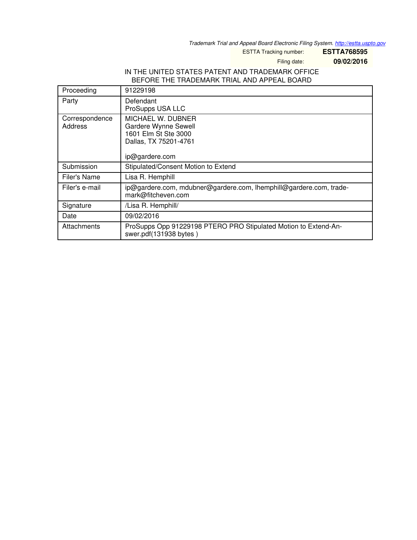*Trademark Trial and Appeal Board Electronic Filing System. <http://estta.uspto.gov>*

ESTTA Tracking number: **ESTTA768595**

Filing date: **09/02/2016**

## IN THE UNITED STATES PATENT AND TRADEMARK OFFICE BEFORE THE TRADEMARK TRIAL AND APPEAL BOARD

| Proceeding                | 91229198                                                                                                     |
|---------------------------|--------------------------------------------------------------------------------------------------------------|
| Party                     | Defendant<br>ProSupps USA LLC                                                                                |
| Correspondence<br>Address | MICHAEL W. DUBNER<br>Gardere Wynne Sewell<br>1601 Elm St Ste 3000<br>Dallas, TX 75201-4761<br>ip@gardere.com |
| Submission                | Stipulated/Consent Motion to Extend                                                                          |
| Filer's Name              | Lisa R. Hemphill                                                                                             |
| Filer's e-mail            | ip@gardere.com, mdubner@gardere.com, lhemphill@gardere.com, trade-<br>mark@fitcheven.com                     |
| Signature                 | /Lisa R. Hemphill/                                                                                           |
| Date                      | 09/02/2016                                                                                                   |
| Attachments               | ProSupps Opp 91229198 PTERO PRO Stipulated Motion to Extend-An-<br>swer.pdf(131938 bytes)                    |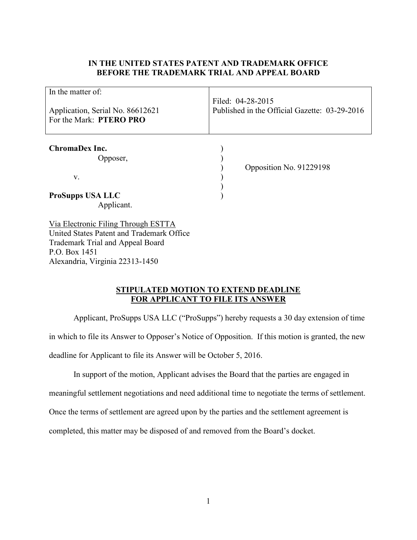## **IN THE UNITED STATES PATENT AND TRADEMARK OFFICE BEFORE THE TRADEMARK TRIAL AND APPEAL BOARD**

| In the matter of:<br>Application, Serial No. 86612621<br>For the Mark: PTERO PRO | Filed: 04-28-2015<br>Published in the Official Gazette: 03-29-2016 |
|----------------------------------------------------------------------------------|--------------------------------------------------------------------|
| <b>ChromaDex Inc.</b><br>Opposer,<br>V.                                          | Opposition No. 91229198                                            |
| <b>ProSupps USA LLC</b><br>Applicant.                                            |                                                                    |
| Via Electronic Filing Through ESTTA<br>United States Patent and Trademark Office |                                                                    |

Trademark Trial and Appeal Board P.O. Box 1451 Alexandria, Virginia 22313-1450

## **STIPULATED MOTION TO EXTEND DEADLINE FOR APPLICANT TO FILE ITS ANSWER**

 Applicant, ProSupps USA LLC ("ProSupps") hereby requests a 30 day extension of time in which to file its Answer to Opposer's Notice of Opposition. If this motion is granted, the new deadline for Applicant to file its Answer will be October 5, 2016.

In support of the motion, Applicant advises the Board that the parties are engaged in

meaningful settlement negotiations and need additional time to negotiate the terms of settlement.

Once the terms of settlement are agreed upon by the parties and the settlement agreement is

completed, this matter may be disposed of and removed from the Board's docket.